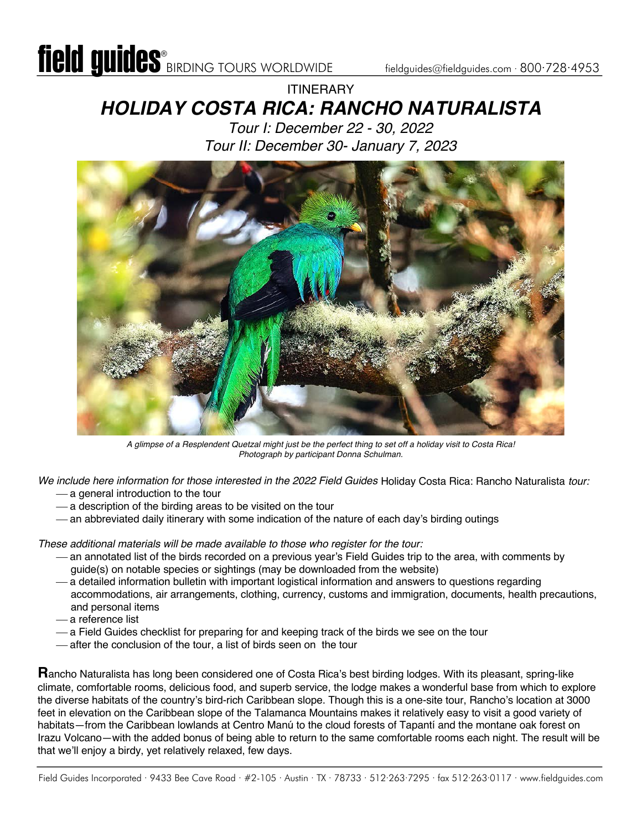## ITINERARY *HOLIDAY COSTA RICA: RANCHO NATURALISTA*

*Tour I: December 22 - 30, 2022 Tour II: December 30- January 7, 2023*



*A glimpse of a Resplendent Quetzal might just be the perfect thing to set off a holiday visit to Costa Rica! Photograph by participant Donna Schulman.* 

*We include here information for those interested in the 2022 Field Guides* Holiday Costa Rica: Rancho Naturalista *tour:*  $-$  a general introduction to the tour

- 
- $-$  a description of the birding areas to be visited on the tour
- an abbreviated daily itinerary with some indication of the nature of each day's birding outings

*These additional materials will be made available to those who register for the tour:*

- ¾ an annotated list of the birds recorded on a previous year's Field Guides trip to the area, with comments by guide(s) on notable species or sightings (may be downloaded from the website)
- ¾ a detailed information bulletin with important logistical information and answers to questions regarding accommodations, air arrangements, clothing, currency, customs and immigration, documents, health precautions, and personal items
- ¾ a reference list
- ¾ a Field Guides checklist for preparing for and keeping track of the birds we see on the tour
- after the conclusion of the tour, a list of birds seen on the tour

**R**ancho Naturalista has long been considered one of Costa Rica's best birding lodges. With its pleasant, spring-like climate, comfortable rooms, delicious food, and superb service, the lodge makes a wonderful base from which to explore the diverse habitats of the country's bird-rich Caribbean slope. Though this is a one-site tour, Rancho's location at 3000 feet in elevation on the Caribbean slope of the Talamanca Mountains makes it relatively easy to visit a good variety of habitats—from the Caribbean lowlands at Centro Manú to the cloud forests of Tapantí and the montane oak forest on Irazu Volcano—with the added bonus of being able to return to the same comfortable rooms each night. The result will be that we'll enjoy a birdy, yet relatively relaxed, few days.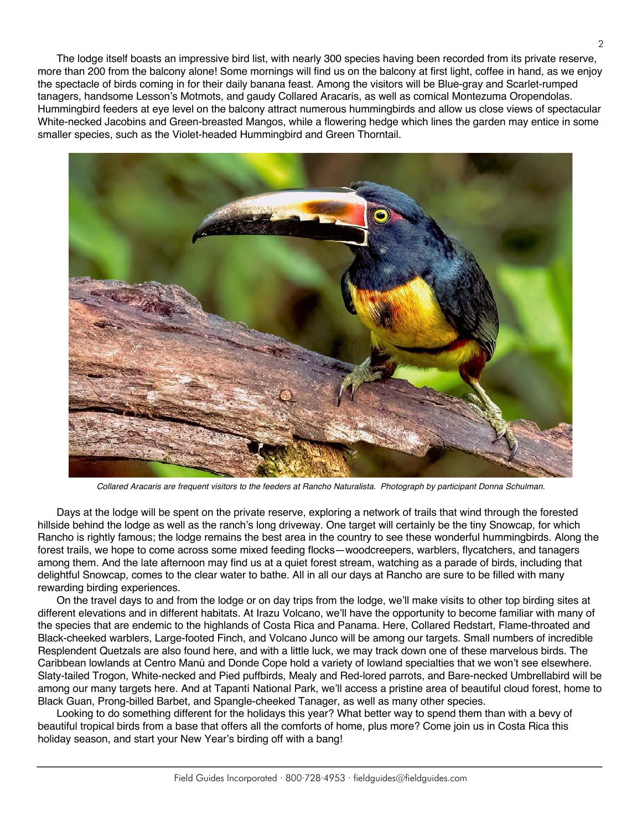The lodge itself boasts an impressive bird list, with nearly 300 species having been recorded from its private reserve, more than 200 from the balcony alone! Some mornings will find us on the balcony at first light, coffee in hand, as we enjoy the spectacle of birds coming in for their daily banana feast. Among the visitors will be Blue-gray and Scarlet-rumped tanagers, handsome Lesson's Motmots, and gaudy Collared Aracaris, as well as comical Montezuma Oropendolas. Hummingbird feeders at eye level on the balcony attract numerous hummingbirds and allow us close views of spectacular White-necked Jacobins and Green-breasted Mangos, while a flowering hedge which lines the garden may entice in some smaller species, such as the Violet-headed Hummingbird and Green Thorntail.



*Collared Aracaris are frequent visitors to the feeders at Rancho Naturalista. Photograph by participant Donna Schulman.*

Days at the lodge will be spent on the private reserve, exploring a network of trails that wind through the forested hillside behind the lodge as well as the ranch's long driveway. One target will certainly be the tiny Snowcap, for which Rancho is rightly famous; the lodge remains the best area in the country to see these wonderful hummingbirds. Along the forest trails, we hope to come across some mixed feeding flocks—woodcreepers, warblers, flycatchers, and tanagers among them. And the late afternoon may find us at a quiet forest stream, watching as a parade of birds, including that delightful Snowcap, comes to the clear water to bathe. All in all our days at Rancho are sure to be filled with many rewarding birding experiences.

On the travel days to and from the lodge or on day trips from the lodge, we'll make visits to other top birding sites at different elevations and in different habitats. At Irazu Volcano, we'll have the opportunity to become familiar with many of the species that are endemic to the highlands of Costa Rica and Panama. Here, Collared Redstart, Flame-throated and Black-cheeked warblers, Large-footed Finch, and Volcano Junco will be among our targets. Small numbers of incredible Resplendent Quetzals are also found here, and with a little luck, we may track down one of these marvelous birds. The Caribbean lowlands at Centro Manú and Donde Cope hold a variety of lowland specialties that we won't see elsewhere. Slaty-tailed Trogon, White-necked and Pied puffbirds, Mealy and Red-lored parrots, and Bare-necked Umbrellabird will be among our many targets here. And at Tapantí National Park, we'll access a pristine area of beautiful cloud forest, home to Black Guan, Prong-billed Barbet, and Spangle-cheeked Tanager, as well as many other species.

Looking to do something different for the holidays this year? What better way to spend them than with a bevy of beautiful tropical birds from a base that offers all the comforts of home, plus more? Come join us in Costa Rica this holiday season, and start your New Year's birding off with a bang!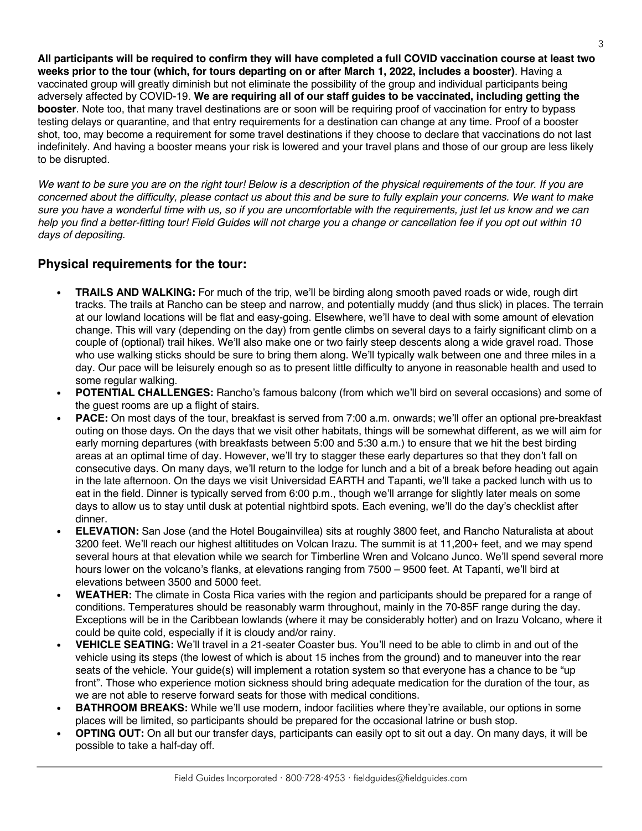**All participants will be required to confirm they will have completed a full COVID vaccination course at least two weeks prior to the tour (which, for tours departing on or after March 1, 2022, includes a booster)**. Having a vaccinated group will greatly diminish but not eliminate the possibility of the group and individual participants being adversely affected by COVID-19. **We are requiring all of our staff guides to be vaccinated, including getting the booster**. Note too, that many travel destinations are or soon will be requiring proof of vaccination for entry to bypass testing delays or quarantine, and that entry requirements for a destination can change at any time. Proof of a booster shot, too, may become a requirement for some travel destinations if they choose to declare that vaccinations do not last indefinitely. And having a booster means your risk is lowered and your travel plans and those of our group are less likely to be disrupted.

*We want to be sure you are on the right tour! Below is a description of the physical requirements of the tour. If you are concerned about the difficulty, please contact us about this and be sure to fully explain your concerns. We want to make sure you have a wonderful time with us, so if you are uncomfortable with the requirements, just let us know and we can help you find a better-fitting tour! Field Guides will not charge you a change or cancellation fee if you opt out within 10 days of depositing.* 

#### **Physical requirements for the tour:**

- **TRAILS AND WALKING:** For much of the trip, we'll be birding along smooth paved roads or wide, rough dirt tracks. The trails at Rancho can be steep and narrow, and potentially muddy (and thus slick) in places. The terrain at our lowland locations will be flat and easy-going. Elsewhere, we'll have to deal with some amount of elevation change. This will vary (depending on the day) from gentle climbs on several days to a fairly significant climb on a couple of (optional) trail hikes. We'll also make one or two fairly steep descents along a wide gravel road. Those who use walking sticks should be sure to bring them along. We'll typically walk between one and three miles in a day. Our pace will be leisurely enough so as to present little difficulty to anyone in reasonable health and used to some regular walking.
- **POTENTIAL CHALLENGES:** Rancho's famous balcony (from which we'll bird on several occasions) and some of the guest rooms are up a flight of stairs.
- **PACE:** On most days of the tour, breakfast is served from 7:00 a.m. onwards; we'll offer an optional pre-breakfast outing on those days. On the days that we visit other habitats, things will be somewhat different, as we will aim for early morning departures (with breakfasts between 5:00 and 5:30 a.m.) to ensure that we hit the best birding areas at an optimal time of day. However, we'll try to stagger these early departures so that they don't fall on consecutive days. On many days, we'll return to the lodge for lunch and a bit of a break before heading out again in the late afternoon. On the days we visit Universidad EARTH and Tapanti, we'll take a packed lunch with us to eat in the field. Dinner is typically served from 6:00 p.m., though we'll arrange for slightly later meals on some days to allow us to stay until dusk at potential nightbird spots. Each evening, we'll do the day's checklist after dinner.
- **ELEVATION:** San Jose (and the Hotel Bougainvillea) sits at roughly 3800 feet, and Rancho Naturalista at about 3200 feet. We'll reach our highest altititudes on Volcan Irazu. The summit is at 11,200+ feet, and we may spend several hours at that elevation while we search for Timberline Wren and Volcano Junco. We'll spend several more hours lower on the volcano's flanks, at elevations ranging from 7500 – 9500 feet. At Tapantí, we'll bird at elevations between 3500 and 5000 feet.
- **WEATHER:** The climate in Costa Rica varies with the region and participants should be prepared for a range of conditions. Temperatures should be reasonably warm throughout, mainly in the 70-85F range during the day. Exceptions will be in the Caribbean lowlands (where it may be considerably hotter) and on Irazu Volcano, where it could be quite cold, especially if it is cloudy and/or rainy.
- **VEHICLE SEATING:** We'll travel in a 21-seater Coaster bus. You'll need to be able to climb in and out of the vehicle using its steps (the lowest of which is about 15 inches from the ground) and to maneuver into the rear seats of the vehicle. Your guide(s) will implement a rotation system so that everyone has a chance to be "up front". Those who experience motion sickness should bring adequate medication for the duration of the tour, as we are not able to reserve forward seats for those with medical conditions.
- **BATHROOM BREAKS:** While we'll use modern, indoor facilities where they're available, our options in some places will be limited, so participants should be prepared for the occasional latrine or bush stop.
- **OPTING OUT:** On all but our transfer days, participants can easily opt to sit out a day. On many days, it will be possible to take a half-day off.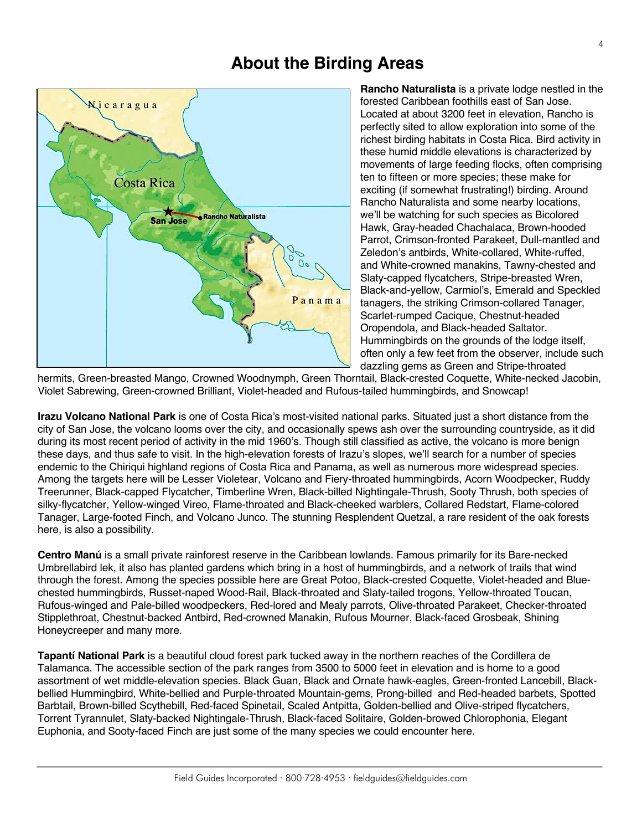### **About the Birding Areas**



**Rancho Naturalista** is a private lodge nestled in the forested Caribbean foothills east of San Jose. Located at about 3200 feet in elevation, Rancho is perfectly sited to allow exploration into some of the richest birding habitats in Costa Rica. Bird activity in these humid middle elevations is characterized by movements of large feeding flocks, often comprising ten to fifteen or more species; these make for exciting (if somewhat frustrating!) birding. Around Rancho Naturalista and some nearby locations, we'll be watching for such species as Bicolored Hawk, Gray-headed Chachalaca, Brown-hooded Parrot, Crimson-fronted Parakeet, Dull-mantled and Zeledon's antbirds, White-collared, White-ruffed, and White-crowned manakins, Tawny-chested and Slaty-capped flycatchers, Stripe-breasted Wren, Black-and-yellow, Carmiol's, Emerald and Speckled tanagers, the striking Crimson-collared Tanager, Scarlet-rumped Cacique, Chestnut-headed Oropendola, and Black-headed Saltator. Hummingbirds on the grounds of the lodge itself, often only a few feet from the observer, include such dazzling gems as Green and Stripe-throated

hermits, Green-breasted Mango, Crowned Woodnymph, Green Thorntail, Black-crested Coquette, White-necked Jacobin, Violet Sabrewing, Green-crowned Brilliant, Violet-headed and Rufous-tailed hummingbirds, and Snowcap!

**Irazu Volcano National Park** is one of Costa Rica's most-visited national parks. Situated just a short distance from the city of San Jose, the volcano looms over the city, and occasionally spews ash over the surrounding countryside, as it did during its most recent period of activity in the mid 1960's. Though still classified as active, the volcano is more benign these days, and thus safe to visit. In the high-elevation forests of Irazu's slopes, we'll search for a number of species endemic to the Chiriqui highland regions of Costa Rica and Panama, as well as numerous more widespread species. Among the targets here will be Lesser Violetear, Volcano and Fiery-throated hummingbirds, Acorn Woodpecker, Ruddy Treerunner, Black-capped Flycatcher, Timberline Wren, Black-billed Nightingale-Thrush, Sooty Thrush, both species of silky-flycatcher, Yellow-winged Vireo, Flame-throated and Black-cheeked warblers, Collared Redstart, Flame-colored Tanager, Large-footed Finch, and Volcano Junco. The stunning Resplendent Quetzal, a rare resident of the oak forests here, is also a possibility.

**Centro Manú** is a small private rainforest reserve in the Caribbean lowlands. Famous primarily for its Bare-necked Umbrellabird lek, it also has planted gardens which bring in a host of hummingbirds, and a network of trails that wind through the forest. Among the species possible here are Great Potoo, Black-crested Coquette, Violet-headed and Bluechested hummingbirds, Russet-naped Wood-Rail, Black-throated and Slaty-tailed trogons, Yellow-throated Toucan, Rufous-winged and Pale-billed woodpeckers, Red-lored and Mealy parrots, Olive-throated Parakeet, Checker-throated Stipplethroat, Chestnut-backed Antbird, Red-crowned Manakin, Rufous Mourner, Black-faced Grosbeak, Shining Honeycreeper and many more.

**Tapantí National Park** is a beautiful cloud forest park tucked away in the northern reaches of the Cordillera de Talamanca. The accessible section of the park ranges from 3500 to 5000 feet in elevation and is home to a good assortment of wet middle-elevation species. Black Guan, Black and Ornate hawk-eagles, Green-fronted Lancebill, Blackbellied Hummingbird, White-bellied and Purple-throated Mountain-gems, Prong-billed and Red-headed barbets, Spotted Barbtail, Brown-billed Scythebill, Red-faced Spinetail, Scaled Antpitta, Golden-bellied and Olive-striped flycatchers, Torrent Tyrannulet, Slaty-backed Nightingale-Thrush, Black-faced Solitaire, Golden-browed Chlorophonia, Elegant Euphonia, and Sooty-faced Finch are just some of the many species we could encounter here.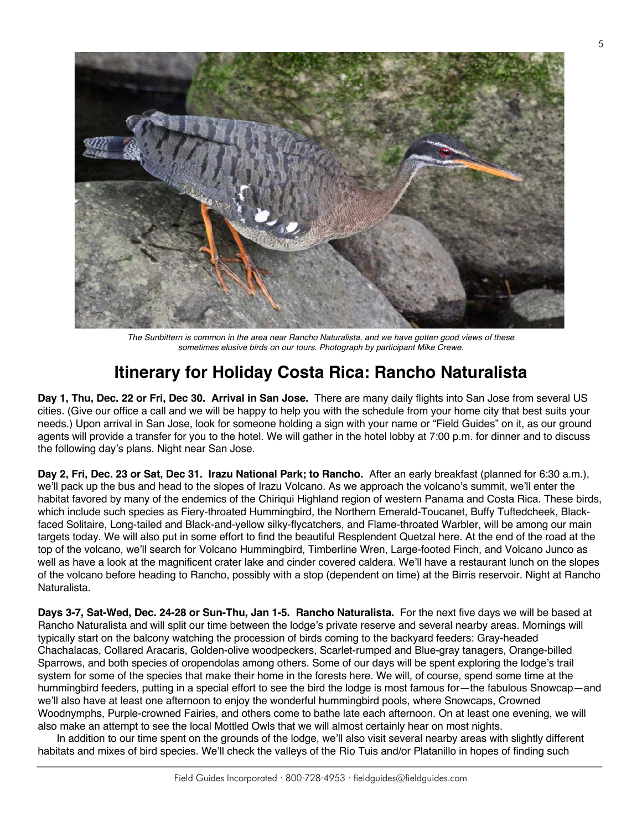

*The Sunbittern is common in the area near Rancho Naturalista, and we have gotten good views of these sometimes elusive birds on our tours. Photograph by participant Mike Crewe.*

## **Itinerary for Holiday Costa Rica: Rancho Naturalista**

**Day 1, Thu, Dec. 22 or Fri, Dec 30. Arrival in San Jose.** There are many daily flights into San Jose from several US cities. (Give our office a call and we will be happy to help you with the schedule from your home city that best suits your needs.) Upon arrival in San Jose, look for someone holding a sign with your name or "Field Guides" on it, as our ground agents will provide a transfer for you to the hotel. We will gather in the hotel lobby at 7:00 p.m. for dinner and to discuss the following day's plans. Night near San Jose.

**Day 2, Fri, Dec. 23 or Sat, Dec 31. Irazu National Park; to Rancho.** After an early breakfast (planned for 6:30 a.m.), we'll pack up the bus and head to the slopes of Irazu Volcano. As we approach the volcano's summit, we'll enter the habitat favored by many of the endemics of the Chiriqui Highland region of western Panama and Costa Rica. These birds, which include such species as Fiery-throated Hummingbird, the Northern Emerald-Toucanet, Buffy Tuftedcheek, Blackfaced Solitaire, Long-tailed and Black-and-yellow silky-flycatchers, and Flame-throated Warbler, will be among our main targets today. We will also put in some effort to find the beautiful Resplendent Quetzal here. At the end of the road at the top of the volcano, we'll search for Volcano Hummingbird, Timberline Wren, Large-footed Finch, and Volcano Junco as well as have a look at the magnificent crater lake and cinder covered caldera. We'll have a restaurant lunch on the slopes of the volcano before heading to Rancho, possibly with a stop (dependent on time) at the Birris reservoir. Night at Rancho Naturalista.

**Days 3-7, Sat-Wed, Dec. 24-28 or Sun-Thu, Jan 1-5. Rancho Naturalista.** For the next five days we will be based at Rancho Naturalista and will split our time between the lodge's private reserve and several nearby areas. Mornings will typically start on the balcony watching the procession of birds coming to the backyard feeders: Gray-headed Chachalacas, Collared Aracaris, Golden-olive woodpeckers, Scarlet-rumped and Blue-gray tanagers, Orange-billed Sparrows, and both species of oropendolas among others. Some of our days will be spent exploring the lodge's trail system for some of the species that make their home in the forests here. We will, of course, spend some time at the hummingbird feeders, putting in a special effort to see the bird the lodge is most famous for—the fabulous Snowcap—and we'll also have at least one afternoon to enjoy the wonderful hummingbird pools, where Snowcaps, Crowned Woodnymphs, Purple-crowned Fairies, and others come to bathe late each afternoon. On at least one evening, we will also make an attempt to see the local Mottled Owls that we will almost certainly hear on most nights.

In addition to our time spent on the grounds of the lodge, we'll also visit several nearby areas with slightly different habitats and mixes of bird species. We'll check the valleys of the Río Tuis and/or Platanillo in hopes of finding such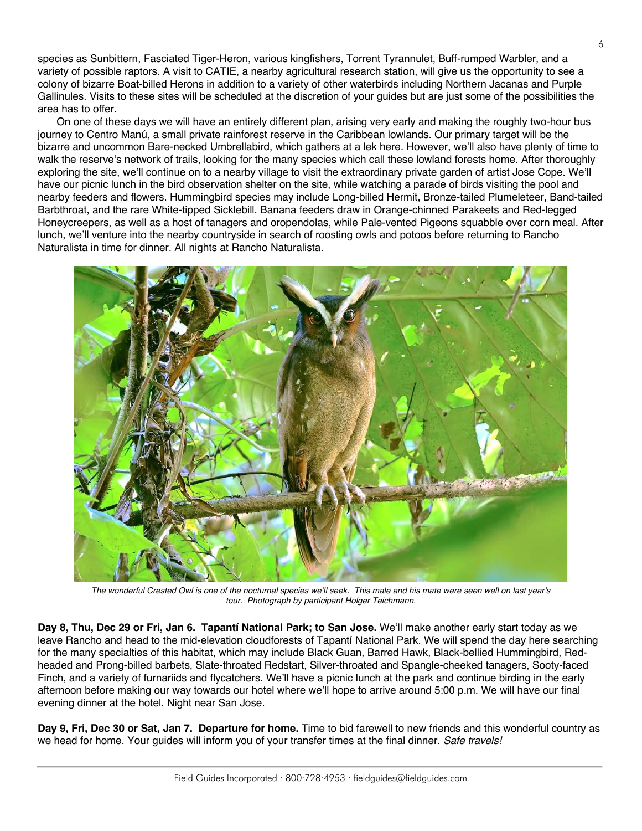species as Sunbittern, Fasciated Tiger-Heron, various kingfishers, Torrent Tyrannulet, Buff-rumped Warbler, and a variety of possible raptors. A visit to CATIE, a nearby agricultural research station, will give us the opportunity to see a colony of bizarre Boat-billed Herons in addition to a variety of other waterbirds including Northern Jacanas and Purple Gallinules. Visits to these sites will be scheduled at the discretion of your guides but are just some of the possibilities the area has to offer.

On one of these days we will have an entirely different plan, arising very early and making the roughly two-hour bus journey to Centro Manú, a small private rainforest reserve in the Caribbean lowlands. Our primary target will be the bizarre and uncommon Bare-necked Umbrellabird, which gathers at a lek here. However, we'll also have plenty of time to walk the reserve's network of trails, looking for the many species which call these lowland forests home. After thoroughly exploring the site, we'll continue on to a nearby village to visit the extraordinary private garden of artist Jose Cope. We'll have our picnic lunch in the bird observation shelter on the site, while watching a parade of birds visiting the pool and nearby feeders and flowers. Hummingbird species may include Long-billed Hermit, Bronze-tailed Plumeleteer, Band-tailed Barbthroat, and the rare White-tipped Sicklebill. Banana feeders draw in Orange-chinned Parakeets and Red-legged Honeycreepers, as well as a host of tanagers and oropendolas, while Pale-vented Pigeons squabble over corn meal. After lunch, we'll venture into the nearby countryside in search of roosting owls and potoos before returning to Rancho Naturalista in time for dinner. All nights at Rancho Naturalista.



*The wonderful Crested Owl is one of the nocturnal species we'll seek. This male and his mate were seen well on last year's tour. Photograph by participant Holger Teichmann.*

**Day 8, Thu, Dec 29 or Fri, Jan 6. Tapantí National Park; to San Jose.** We'll make another early start today as we leave Rancho and head to the mid-elevation cloudforests of Tapantí National Park. We will spend the day here searching for the many specialties of this habitat, which may include Black Guan, Barred Hawk, Black-bellied Hummingbird, Redheaded and Prong-billed barbets, Slate-throated Redstart, Silver-throated and Spangle-cheeked tanagers, Sooty-faced Finch, and a variety of furnariids and flycatchers. We'll have a picnic lunch at the park and continue birding in the early afternoon before making our way towards our hotel where we'll hope to arrive around 5:00 p.m. We will have our final evening dinner at the hotel. Night near San Jose.

**Day 9, Fri, Dec 30 or Sat, Jan 7. Departure for home.** Time to bid farewell to new friends and this wonderful country as we head for home. Your guides will inform you of your transfer times at the final dinner. *Safe travels!*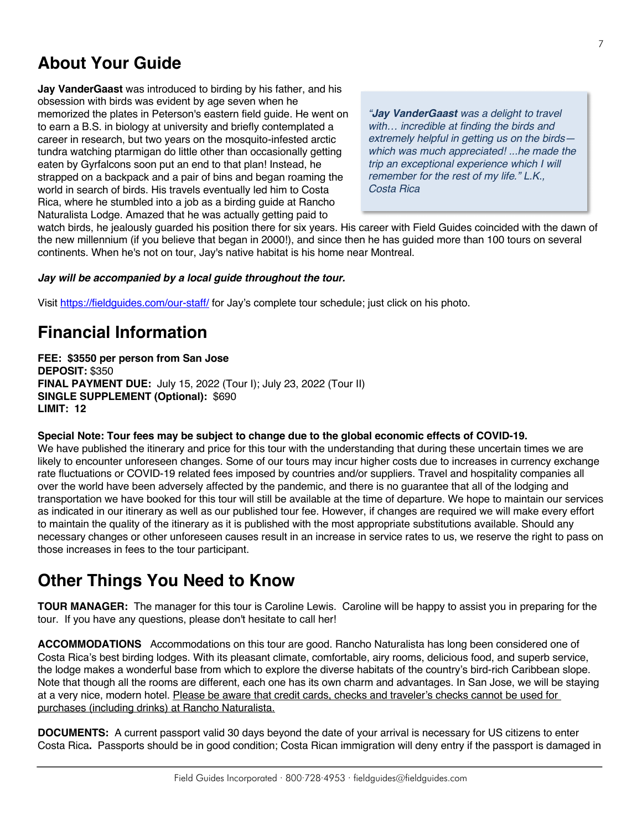# **About Your Guide**

**Jay VanderGaast** was introduced to birding by his father, and his obsession with birds was evident by age seven when he memorized the plates in Peterson's eastern field guide. He went on to earn a B.S. in biology at university and briefly contemplated a career in research, but two years on the mosquito-infested arctic tundra watching ptarmigan do little other than occasionally getting eaten by Gyrfalcons soon put an end to that plan! Instead, he strapped on a backpack and a pair of bins and began roaming the world in search of birds. His travels eventually led him to Costa Rica, where he stumbled into a job as a birding guide at Rancho Naturalista Lodge. Amazed that he was actually getting paid to

*"Jay VanderGaast was a delight to travel with… incredible at finding the birds and extremely helpful in getting us on the birds which was much appreciated! ...he made the trip an exceptional experience which I will remember for the rest of my life." L.K., Costa Rica*

watch birds, he jealously guarded his position there for six years. His career with Field Guides coincided with the dawn of the new millennium (if you believe that began in 2000!), and since then he has guided more than 100 tours on several continents. When he's not on tour, Jay's native habitat is his home near Montreal.

#### *Jay will be accompanied by a local guide throughout the tour.*

Visit https://fieldguides.com/our-staff/ for Jay's complete tour schedule; just click on his photo.

## **Financial Information**

**FEE: \$3550 per person from San Jose DEPOSIT:** \$350 **FINAL PAYMENT DUE:** July 15, 2022 (Tour I); July 23, 2022 (Tour II) **SINGLE SUPPLEMENT (Optional):** \$690 **LIMIT: 12**

**Special Note: Tour fees may be subject to change due to the global economic effects of COVID-19.**

We have published the itinerary and price for this tour with the understanding that during these uncertain times we are likely to encounter unforeseen changes. Some of our tours may incur higher costs due to increases in currency exchange rate fluctuations or COVID-19 related fees imposed by countries and/or suppliers. Travel and hospitality companies all over the world have been adversely affected by the pandemic, and there is no guarantee that all of the lodging and transportation we have booked for this tour will still be available at the time of departure. We hope to maintain our services as indicated in our itinerary as well as our published tour fee. However, if changes are required we will make every effort to maintain the quality of the itinerary as it is published with the most appropriate substitutions available. Should any necessary changes or other unforeseen causes result in an increase in service rates to us, we reserve the right to pass on those increases in fees to the tour participant.

## **Other Things You Need to Know**

**TOUR MANAGER:** The manager for this tour is Caroline Lewis. Caroline will be happy to assist you in preparing for the tour. If you have any questions, please don't hesitate to call her!

**ACCOMMODATIONS** Accommodations on this tour are good. Rancho Naturalista has long been considered one of Costa Rica's best birding lodges. With its pleasant climate, comfortable, airy rooms, delicious food, and superb service, the lodge makes a wonderful base from which to explore the diverse habitats of the country's bird-rich Caribbean slope. Note that though all the rooms are different, each one has its own charm and advantages. In San Jose, we will be staying at a very nice, modern hotel. Please be aware that credit cards, checks and traveler's checks cannot be used for purchases (including drinks) at Rancho Naturalista.

**DOCUMENTS:** A current passport valid 30 days beyond the date of your arrival is necessary for US citizens to enter Costa Rica**.** Passports should be in good condition; Costa Rican immigration will deny entry if the passport is damaged in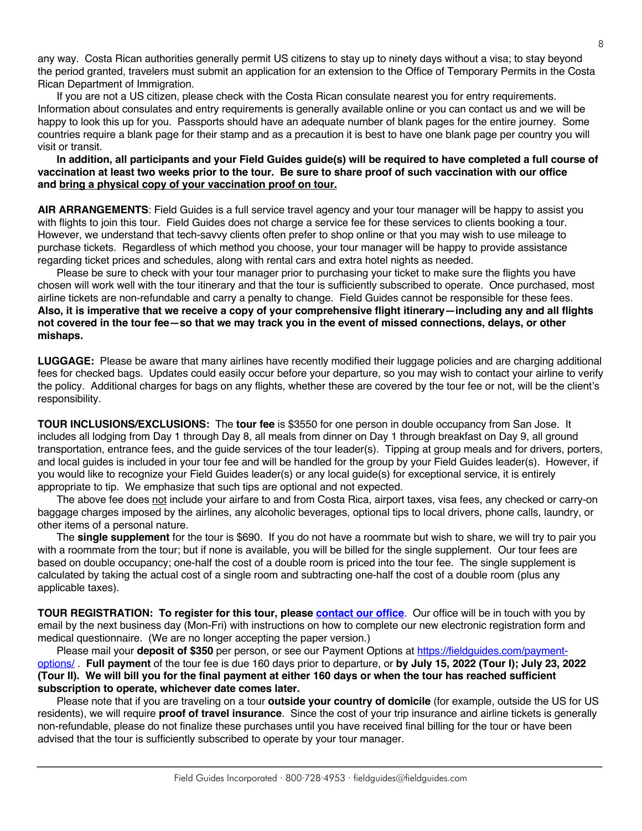any way. Costa Rican authorities generally permit US citizens to stay up to ninety days without a visa; to stay beyond the period granted, travelers must submit an application for an extension to the Office of Temporary Permits in the Costa Rican Department of Immigration.

If you are not a US citizen, please check with the Costa Rican consulate nearest you for entry requirements. Information about consulates and entry requirements is generally available online or you can contact us and we will be happy to look this up for you. Passports should have an adequate number of blank pages for the entire journey. Some countries require a blank page for their stamp and as a precaution it is best to have one blank page per country you will visit or transit.

#### **In addition, all participants and your Field Guides guide(s) will be required to have completed a full course of vaccination at least two weeks prior to the tour. Be sure to share proof of such vaccination with our office and bring a physical copy of your vaccination proof on tour.**

**AIR ARRANGEMENTS**: Field Guides is a full service travel agency and your tour manager will be happy to assist you with flights to join this tour. Field Guides does not charge a service fee for these services to clients booking a tour. However, we understand that tech-savvy clients often prefer to shop online or that you may wish to use mileage to purchase tickets. Regardless of which method you choose, your tour manager will be happy to provide assistance regarding ticket prices and schedules, along with rental cars and extra hotel nights as needed.

Please be sure to check with your tour manager prior to purchasing your ticket to make sure the flights you have chosen will work well with the tour itinerary and that the tour is sufficiently subscribed to operate. Once purchased, most airline tickets are non-refundable and carry a penalty to change. Field Guides cannot be responsible for these fees. **Also, it is imperative that we receive a copy of your comprehensive flight itinerary—including any and all flights not covered in the tour fee—so that we may track you in the event of missed connections, delays, or other mishaps.**

**LUGGAGE:** Please be aware that many airlines have recently modified their luggage policies and are charging additional fees for checked bags. Updates could easily occur before your departure, so you may wish to contact your airline to verify the policy. Additional charges for bags on any flights, whether these are covered by the tour fee or not, will be the client's responsibility.

**TOUR INCLUSIONS/EXCLUSIONS:** The **tour fee** is \$3550 for one person in double occupancy from San Jose. It includes all lodging from Day 1 through Day 8, all meals from dinner on Day 1 through breakfast on Day 9, all ground transportation, entrance fees, and the guide services of the tour leader(s). Tipping at group meals and for drivers, porters, and local guides is included in your tour fee and will be handled for the group by your Field Guides leader(s). However, if you would like to recognize your Field Guides leader(s) or any local guide(s) for exceptional service, it is entirely appropriate to tip. We emphasize that such tips are optional and not expected.

The above fee does not include your airfare to and from Costa Rica, airport taxes, visa fees, any checked or carry-on baggage charges imposed by the airlines, any alcoholic beverages, optional tips to local drivers, phone calls, laundry, or other items of a personal nature.

The **single supplement** for the tour is \$690. If you do not have a roommate but wish to share, we will try to pair you with a roommate from the tour; but if none is available, you will be billed for the single supplement. Our tour fees are based on double occupancy; one-half the cost of a double room is priced into the tour fee. The single supplement is calculated by taking the actual cost of a single room and subtracting one-half the cost of a double room (plus any applicable taxes).

**TOUR REGISTRATION: To register for this tour, please [contact our office](https://fieldguides.com/contact-us)**. Our office will be in touch with you by email by the next business day (Mon-Fri) with instructions on how to complete our new electronic registration form and medical questionnaire. (We are no longer accepting the paper version.)

Please mail your **deposit of \$350** per person, or see our Payment Options at [https://fieldguides.com/payment](https://fieldguides.com/payment-options/)[options/](https://fieldguides.com/payment-options/) . **Full payment** of the tour fee is due 160 days prior to departure, or **by July 15, 2022 (Tour I); July 23, 2022 (Tour II). We will bill you for the final payment at either 160 days or when the tour has reached sufficient subscription to operate, whichever date comes later.**

Please note that if you are traveling on a tour **outside your country of domicile** (for example, outside the US for US residents), we will require **proof of travel insurance**. Since the cost of your trip insurance and airline tickets is generally non-refundable, please do not finalize these purchases until you have received final billing for the tour or have been advised that the tour is sufficiently subscribed to operate by your tour manager.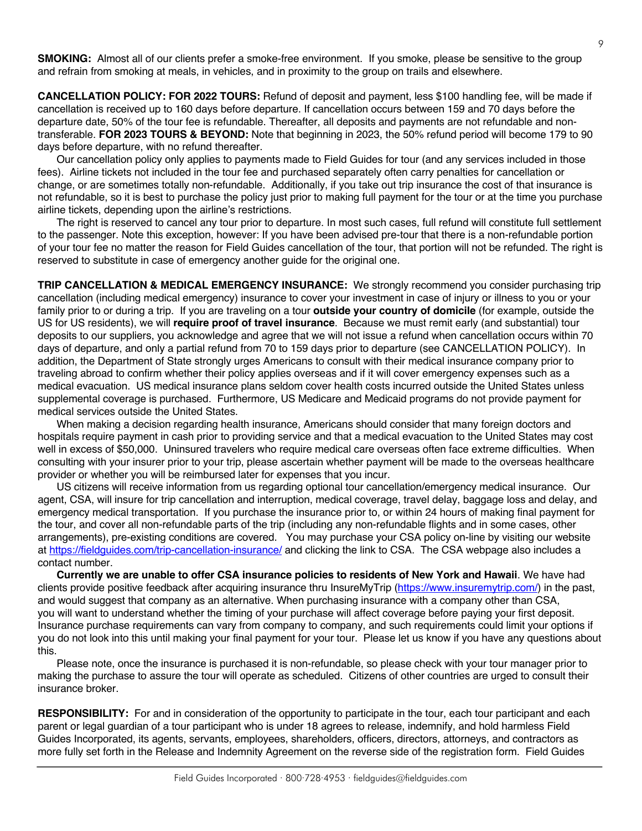**SMOKING:** Almost all of our clients prefer a smoke-free environment. If you smoke, please be sensitive to the group and refrain from smoking at meals, in vehicles, and in proximity to the group on trails and elsewhere.

**CANCELLATION POLICY: FOR 2022 TOURS:** Refund of deposit and payment, less \$100 handling fee, will be made if cancellation is received up to 160 days before departure. If cancellation occurs between 159 and 70 days before the departure date, 50% of the tour fee is refundable. Thereafter, all deposits and payments are not refundable and nontransferable. **FOR 2023 TOURS & BEYOND:** Note that beginning in 2023, the 50% refund period will become 179 to 90 days before departure, with no refund thereafter.

Our cancellation policy only applies to payments made to Field Guides for tour (and any services included in those fees). Airline tickets not included in the tour fee and purchased separately often carry penalties for cancellation or change, or are sometimes totally non-refundable. Additionally, if you take out trip insurance the cost of that insurance is not refundable, so it is best to purchase the policy just prior to making full payment for the tour or at the time you purchase airline tickets, depending upon the airline's restrictions.

The right is reserved to cancel any tour prior to departure. In most such cases, full refund will constitute full settlement to the passenger. Note this exception, however: If you have been advised pre-tour that there is a non-refundable portion of your tour fee no matter the reason for Field Guides cancellation of the tour, that portion will not be refunded. The right is reserved to substitute in case of emergency another guide for the original one.

**TRIP CANCELLATION & MEDICAL EMERGENCY INSURANCE:** We strongly recommend you consider purchasing trip cancellation (including medical emergency) insurance to cover your investment in case of injury or illness to you or your family prior to or during a trip. If you are traveling on a tour **outside your country of domicile** (for example, outside the US for US residents), we will **require proof of travel insurance**. Because we must remit early (and substantial) tour deposits to our suppliers, you acknowledge and agree that we will not issue a refund when cancellation occurs within 70 days of departure, and only a partial refund from 70 to 159 days prior to departure (see CANCELLATION POLICY). In addition, the Department of State strongly urges Americans to consult with their medical insurance company prior to traveling abroad to confirm whether their policy applies overseas and if it will cover emergency expenses such as a medical evacuation. US medical insurance plans seldom cover health costs incurred outside the United States unless supplemental coverage is purchased. Furthermore, US Medicare and Medicaid programs do not provide payment for medical services outside the United States.

When making a decision regarding health insurance, Americans should consider that many foreign doctors and hospitals require payment in cash prior to providing service and that a medical evacuation to the United States may cost well in excess of \$50,000. Uninsured travelers who require medical care overseas often face extreme difficulties. When consulting with your insurer prior to your trip, please ascertain whether payment will be made to the overseas healthcare provider or whether you will be reimbursed later for expenses that you incur.

US citizens will receive information from us regarding optional tour cancellation/emergency medical insurance. Our agent, CSA, will insure for trip cancellation and interruption, medical coverage, travel delay, baggage loss and delay, and emergency medical transportation. If you purchase the insurance prior to, or within 24 hours of making final payment for the tour, and cover all non-refundable parts of the trip (including any non-refundable flights and in some cases, other arrangements), pre-existing conditions are covered. You may purchase your CSA policy on-line by visiting our website at https://fieldguides.com/trip-cancellation-insurance/ and clicking the link to CSA. The CSA webpage also includes a contact number.

**Currently we are unable to offer CSA insurance policies to residents of New York and Hawaii**. We have had clients provide positive feedback after acquiring insurance thru InsureMyTrip (https://www.insuremytrip.com/) in the past, and would suggest that company as an alternative. When purchasing insurance with a company other than CSA, you will want to understand whether the timing of your purchase will affect coverage before paying your first deposit. Insurance purchase requirements can vary from company to company, and such requirements could limit your options if you do not look into this until making your final payment for your tour. Please let us know if you have any questions about this.

Please note, once the insurance is purchased it is non-refundable, so please check with your tour manager prior to making the purchase to assure the tour will operate as scheduled. Citizens of other countries are urged to consult their insurance broker.

**RESPONSIBILITY:** For and in consideration of the opportunity to participate in the tour, each tour participant and each parent or legal guardian of a tour participant who is under 18 agrees to release, indemnify, and hold harmless Field Guides Incorporated, its agents, servants, employees, shareholders, officers, directors, attorneys, and contractors as more fully set forth in the Release and Indemnity Agreement on the reverse side of the registration form. Field Guides